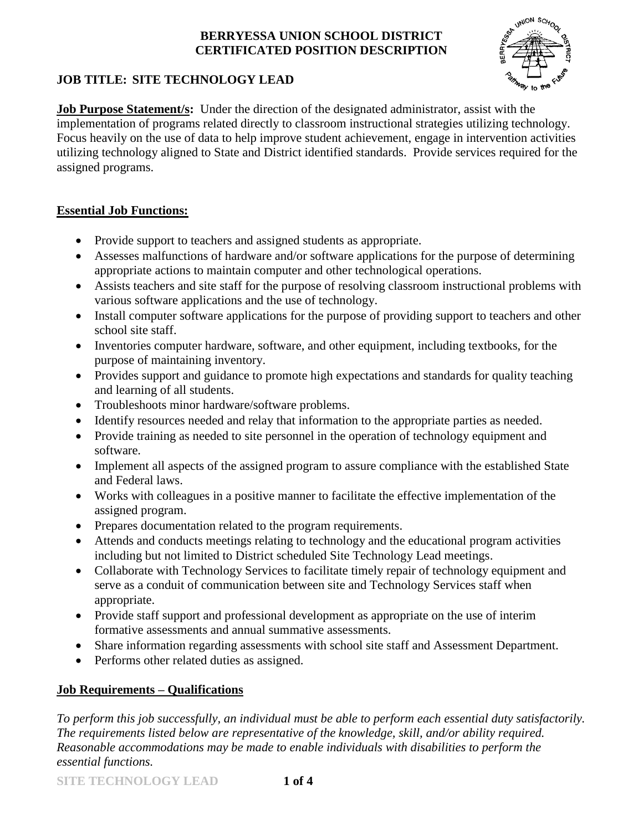

# **JOB TITLE: SITE TECHNOLOGY LEAD**

**Job Purpose Statement/s:** Under the direction of the designated administrator, assist with the implementation of programs related directly to classroom instructional strategies utilizing technology. Focus heavily on the use of data to help improve student achievement, engage in intervention activities utilizing technology aligned to State and District identified standards. Provide services required for the assigned programs.

## **Essential Job Functions:**

- Provide support to teachers and assigned students as appropriate.
- Assesses malfunctions of hardware and/or software applications for the purpose of determining appropriate actions to maintain computer and other technological operations.
- Assists teachers and site staff for the purpose of resolving classroom instructional problems with various software applications and the use of technology.
- Install computer software applications for the purpose of providing support to teachers and other school site staff.
- Inventories computer hardware, software, and other equipment, including textbooks, for the purpose of maintaining inventory.
- Provides support and guidance to promote high expectations and standards for quality teaching and learning of all students.
- Troubleshoots minor hardware/software problems.
- Identify resources needed and relay that information to the appropriate parties as needed.
- Provide training as needed to site personnel in the operation of technology equipment and software.
- Implement all aspects of the assigned program to assure compliance with the established State and Federal laws.
- Works with colleagues in a positive manner to facilitate the effective implementation of the assigned program.
- Prepares documentation related to the program requirements.
- Attends and conducts meetings relating to technology and the educational program activities including but not limited to District scheduled Site Technology Lead meetings.
- Collaborate with Technology Services to facilitate timely repair of technology equipment and serve as a conduit of communication between site and Technology Services staff when appropriate.
- Provide staff support and professional development as appropriate on the use of interim formative assessments and annual summative assessments.
- Share information regarding assessments with school site staff and Assessment Department.
- Performs other related duties as assigned.

# **Job Requirements – Qualifications**

*To perform this job successfully, an individual must be able to perform each essential duty satisfactorily. The requirements listed below are representative of the knowledge, skill, and/or ability required. Reasonable accommodations may be made to enable individuals with disabilities to perform the essential functions.*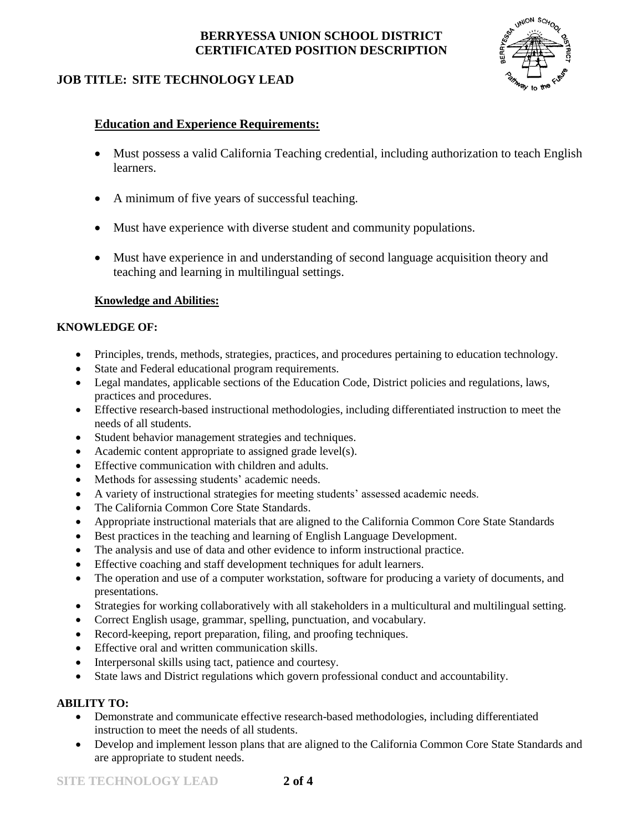

## **JOB TITLE: SITE TECHNOLOGY LEAD**

## **Education and Experience Requirements:**

- Must possess a valid California Teaching credential, including authorization to teach English learners.
- A minimum of five years of successful teaching.
- Must have experience with diverse student and community populations.
- Must have experience in and understanding of second language acquisition theory and teaching and learning in multilingual settings.

### **Knowledge and Abilities:**

#### **KNOWLEDGE OF:**

- Principles, trends, methods, strategies, practices, and procedures pertaining to education technology.
- State and Federal educational program requirements.
- Legal mandates, applicable sections of the Education Code, District policies and regulations, laws, practices and procedures.
- Effective research-based instructional methodologies, including differentiated instruction to meet the needs of all students.
- Student behavior management strategies and techniques.
- Academic content appropriate to assigned grade level(s).
- Effective communication with children and adults.
- Methods for assessing students' academic needs.
- A variety of instructional strategies for meeting students' assessed academic needs.
- The California Common Core State Standards.
- Appropriate instructional materials that are aligned to the California Common Core State Standards
- Best practices in the teaching and learning of English Language Development.
- The analysis and use of data and other evidence to inform instructional practice.
- Effective coaching and staff development techniques for adult learners.
- The operation and use of a computer workstation, software for producing a variety of documents, and presentations.
- Strategies for working collaboratively with all stakeholders in a multicultural and multilingual setting.
- Correct English usage, grammar, spelling, punctuation, and vocabulary.
- Record-keeping, report preparation, filing, and proofing techniques.
- Effective oral and written communication skills.
- Interpersonal skills using tact, patience and courtesy.
- State laws and District regulations which govern professional conduct and accountability.

#### **ABILITY TO:**

- Demonstrate and communicate effective research-based methodologies, including differentiated instruction to meet the needs of all students.
- Develop and implement lesson plans that are aligned to the California Common Core State Standards and are appropriate to student needs.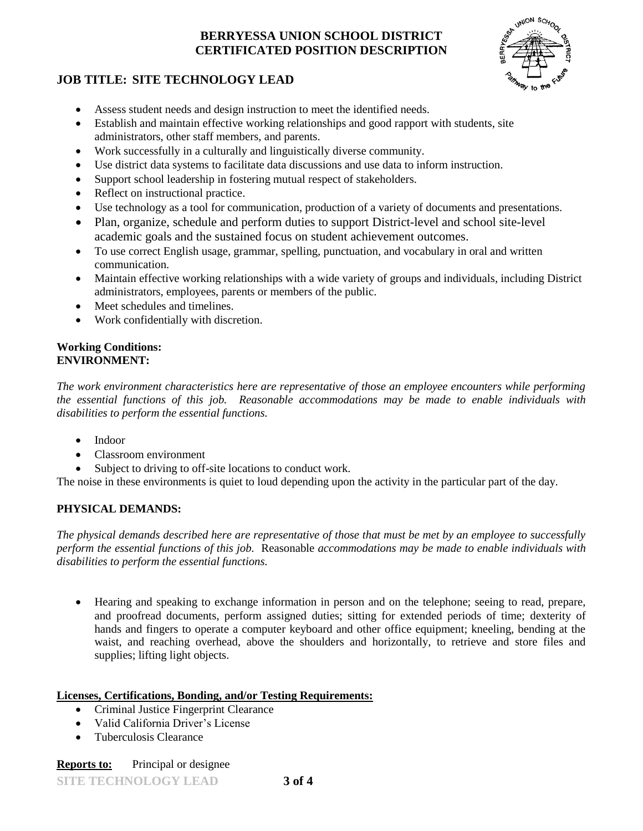

### **JOB TITLE: SITE TECHNOLOGY LEAD**

- Assess student needs and design instruction to meet the identified needs.
- Establish and maintain effective working relationships and good rapport with students, site administrators, other staff members, and parents.
- Work successfully in a culturally and linguistically diverse community.
- Use district data systems to facilitate data discussions and use data to inform instruction.
- Support school leadership in fostering mutual respect of stakeholders.
- Reflect on instructional practice.
- Use technology as a tool for communication, production of a variety of documents and presentations.
- Plan, organize, schedule and perform duties to support District-level and school site-level academic goals and the sustained focus on student achievement outcomes.
- To use correct English usage, grammar, spelling, punctuation, and vocabulary in oral and written communication.
- Maintain effective working relationships with a wide variety of groups and individuals, including District administrators, employees, parents or members of the public.
- Meet schedules and timelines.
- Work confidentially with discretion.

#### **Working Conditions: ENVIRONMENT:**

*The work environment characteristics here are representative of those an employee encounters while performing the essential functions of this job. Reasonable accommodations may be made to enable individuals with disabilities to perform the essential functions.*

- Indoor
- Classroom environment
- Subject to driving to off-site locations to conduct work.

The noise in these environments is quiet to loud depending upon the activity in the particular part of the day.

### **PHYSICAL DEMANDS:**

*The physical demands described here are representative of those that must be met by an employee to successfully perform the essential functions of this job.* Reasonable *accommodations may be made to enable individuals with disabilities to perform the essential functions.*

 Hearing and speaking to exchange information in person and on the telephone; seeing to read, prepare, and proofread documents, perform assigned duties; sitting for extended periods of time; dexterity of hands and fingers to operate a computer keyboard and other office equipment; kneeling, bending at the waist, and reaching overhead, above the shoulders and horizontally, to retrieve and store files and supplies; lifting light objects.

#### **Licenses, Certifications, Bonding, and/or Testing Requirements:**

- Criminal Justice Fingerprint Clearance
- Valid California Driver's License
- Tuberculosis Clearance

#### **Reports to:** Principal or designee